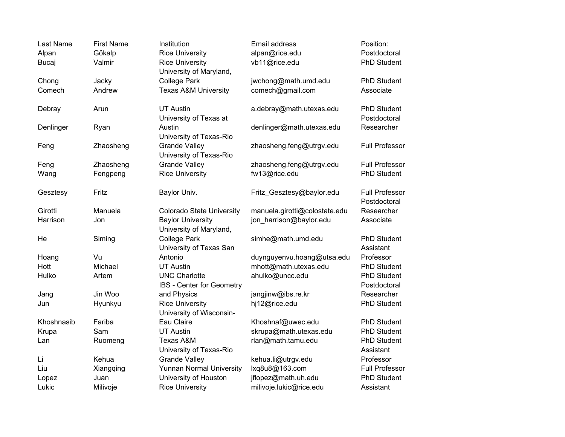| Last Name  | <b>First Name</b> | Institution                                         | Email address                 | Position:                             |
|------------|-------------------|-----------------------------------------------------|-------------------------------|---------------------------------------|
| Alpan      | Gökalp            | <b>Rice University</b>                              | alpan@rice.edu                | Postdoctoral                          |
| Bucaj      | Valmir            | <b>Rice University</b><br>University of Maryland,   | vb11@rice.edu                 | <b>PhD Student</b>                    |
| Chong      | Jacky             | <b>College Park</b>                                 | jwchong@math.umd.edu          | <b>PhD Student</b>                    |
| Comech     | Andrew            | <b>Texas A&amp;M University</b>                     | comech@gmail.com              | Associate                             |
| Debray     | Arun              | <b>UT Austin</b><br>University of Texas at          | a.debray@math.utexas.edu      | <b>PhD Student</b><br>Postdoctoral    |
| Denlinger  | Ryan              | Austin<br>University of Texas-Rio                   | denlinger@math.utexas.edu     | Researcher                            |
| Feng       | Zhaosheng         | <b>Grande Valley</b><br>University of Texas-Rio     | zhaosheng.feng@utrgv.edu      | <b>Full Professor</b>                 |
| Feng       | Zhaosheng         | <b>Grande Valley</b>                                | zhaosheng.feng@utrgv.edu      | <b>Full Professor</b>                 |
| Wang       | Fengpeng          | <b>Rice University</b>                              | fw13@rice.edu                 | <b>PhD Student</b>                    |
| Gesztesy   | Fritz             | Baylor Univ.                                        | Fritz Gesztesy@baylor.edu     | <b>Full Professor</b><br>Postdoctoral |
| Girotti    | Manuela           | <b>Colorado State University</b>                    | manuela.girotti@colostate.edu | Researcher                            |
| Harrison   | Jon               | <b>Baylor University</b><br>University of Maryland, | jon_harrison@baylor.edu       | Associate                             |
| He         | Siming            | <b>College Park</b><br>University of Texas San      | simhe@math.umd.edu            | <b>PhD Student</b><br>Assistant       |
| Hoang      | Vu                | Antonio                                             | duynguyenvu.hoang@utsa.edu    | Professor                             |
| Hott       | Michael           | <b>UT Austin</b>                                    | mhott@math.utexas.edu         | PhD Student                           |
| Hulko      | Artem             | <b>UNC Charlotte</b>                                | ahulko@uncc.edu               | <b>PhD Student</b>                    |
|            |                   | IBS - Center for Geometry                           |                               | Postdoctoral                          |
| Jang       | Jin Woo           | and Physics                                         | jangjinw@ibs.re.kr            | Researcher                            |
| Jun        | Hyunkyu           | <b>Rice University</b><br>University of Wisconsin-  | hj12@rice.edu                 | PhD Student                           |
| Khoshnasib | Fariba            | Eau Claire                                          | Khoshnaf@uwec.edu             | <b>PhD Student</b>                    |
| Krupa      | Sam               | <b>UT Austin</b>                                    | skrupa@math.utexas.edu        | PhD Student                           |
| Lan        | Ruomeng           | Texas A&M<br>University of Texas-Rio                | rlan@math.tamu.edu            | PhD Student<br>Assistant              |
| Li         | Kehua             | <b>Grande Valley</b>                                | kehua.li@utrgv.edu            | Professor                             |
| Liu        | Xiangqing         | <b>Yunnan Normal University</b>                     | lxq8u8@163.com                | <b>Full Professor</b>                 |
| Lopez      | Juan              | University of Houston                               | jflopez@math.uh.edu           | PhD Student                           |
| Lukic      | Milivoje          | <b>Rice University</b>                              | milivoje.lukic@rice.edu       | Assistant                             |